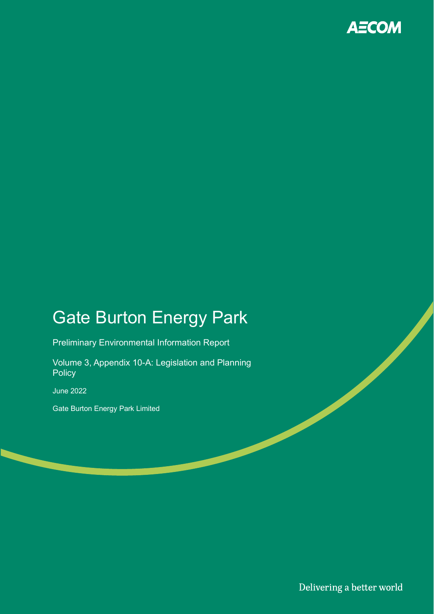

# Gate Burton Energy Park

Preliminary Environmental Information Report

Volume 3, Appendix 10-A: Legislation and Planning **Policy** 

June 2022

Gate Burton Energy Park Limited

Delivering a better world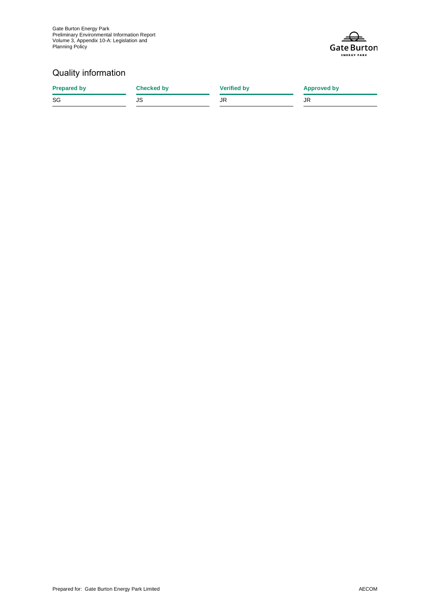Gate Burton Energy Park Preliminary Environmental Information Report Volume 3, Appendix 10-A: Legislation and Planning Policy



### Quality information

| <b>Prepared by</b> | <b>Checked by</b> | <b>Verified by</b> | <b>Approved by</b> |
|--------------------|-------------------|--------------------|--------------------|
| SG                 | JS                | JR                 | JR                 |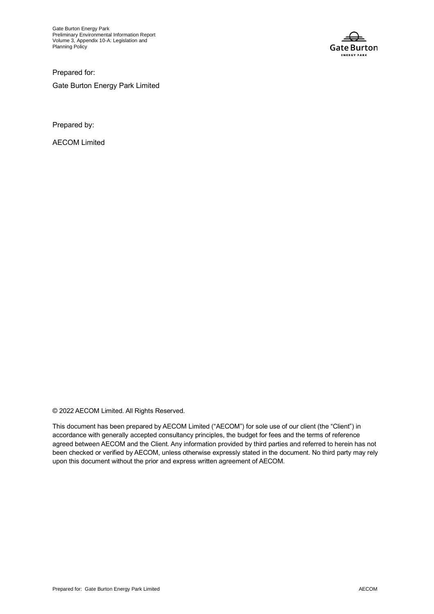Gate Burton Energy Park Preliminary Environmental Information Report Volume 3, Appendix 10-A: Legislation and Planning Policy



Prepared for: Gate Burton Energy Park Limited

Prepared by:

AECOM Limited

© 2022 AECOM Limited. All Rights Reserved.

This document has been prepared by AECOM Limited ("AECOM") for sole use of our client (the "Client") in accordance with generally accepted consultancy principles, the budget for fees and the terms of reference agreed between AECOM and the Client. Any information provided by third parties and referred to herein has not been checked or verified by AECOM, unless otherwise expressly stated in the document. No third party may rely upon this document without the prior and express written agreement of AECOM.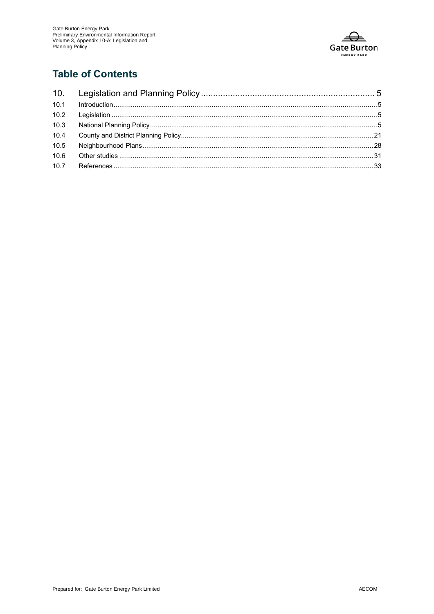

### **Table of Contents**

| 10.1 |  |
|------|--|
|      |  |
| 10.3 |  |
| 10.4 |  |
| 10.5 |  |
| 10.6 |  |
|      |  |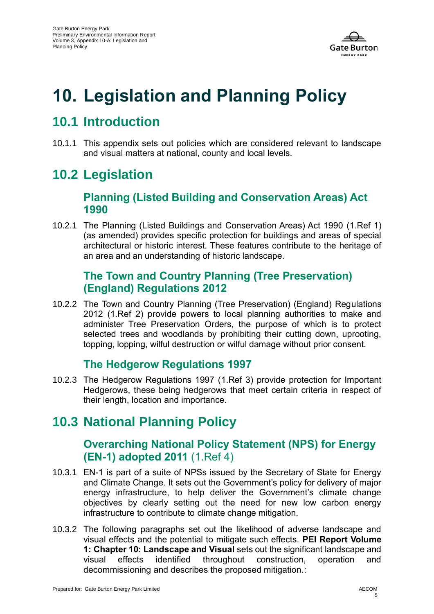

# <span id="page-4-0"></span>**10. Legislation and Planning Policy**

## <span id="page-4-1"></span>**10.1 Introduction**

10.1.1 This appendix sets out policies which are considered relevant to landscape and visual matters at national, county and local levels.

## <span id="page-4-2"></span>**10.2 Legislation**

### **Planning (Listed Building and Conservation Areas) Act 1990**

10.2.1 The Planning (Listed Buildings and Conservation Areas) Act 1990 [\(1.Ref 1\)](#page-32-1) (as amended) provides specific protection for buildings and areas of special architectural or historic interest. These features contribute to the heritage of an area and an understanding of historic landscape.

#### **The Town and Country Planning (Tree Preservation) (England) Regulations 2012**

10.2.2 The Town and Country Planning (Tree Preservation) (England) Regulations 2012 [\(1.Ref 2\)](#page-32-2) provide powers to local planning authorities to make and administer Tree Preservation Orders, the purpose of which is to protect selected trees and woodlands by prohibiting their cutting down, uprooting, topping, lopping, wilful destruction or wilful damage without prior consent.

### **The Hedgerow Regulations 1997**

10.2.3 The Hedgerow Regulations 1997 [\(1.Ref 3\)](#page-32-3) provide protection for Important Hedgerows, these being hedgerows that meet certain criteria in respect of their length, location and importance.

## <span id="page-4-3"></span>**10.3 National Planning Policy**

### **Overarching National Policy Statement (NPS) for Energy (EN-1) adopted 2011** [\(1.Ref 4\)](#page-32-4)

- 10.3.1 EN-1 is part of a suite of NPSs issued by the Secretary of State for Energy and Climate Change. It sets out the Government's policy for delivery of major energy infrastructure, to help deliver the Government's climate change objectives by clearly setting out the need for new low carbon energy infrastructure to contribute to climate change mitigation.
- 10.3.2 The following paragraphs set out the likelihood of adverse landscape and visual effects and the potential to mitigate such effects. **PEI Report Volume 1: Chapter 10: Landscape and Visual** sets out the significant landscape and visual effects identified throughout construction, operation and decommissioning and describes the proposed mitigation.: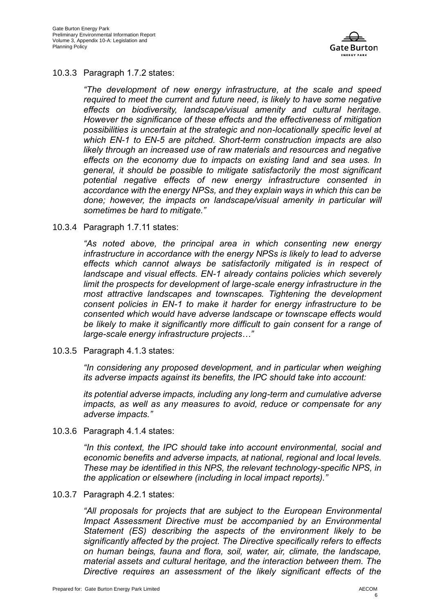

#### 10.3.3 Paragraph 1.7.2 states:

*"The development of new energy infrastructure, at the scale and speed required to meet the current and future need, is likely to have some negative effects on biodiversity, landscape/visual amenity and cultural heritage. However the significance of these effects and the effectiveness of mitigation possibilities is uncertain at the strategic and non-locationally specific level at which EN-1 to EN-5 are pitched. Short-term construction impacts are also likely through an increased use of raw materials and resources and negative effects on the economy due to impacts on existing land and sea uses. In general, it should be possible to mitigate satisfactorily the most significant potential negative effects of new energy infrastructure consented in accordance with the energy NPSs, and they explain ways in which this can be done; however, the impacts on landscape/visual amenity in particular will sometimes be hard to mitigate."*

#### 10.3.4 Paragraph 1.7.11 states:

*"As noted above, the principal area in which consenting new energy infrastructure in accordance with the energy NPSs is likely to lead to adverse effects which cannot always be satisfactorily mitigated is in respect of landscape and visual effects. EN-1 already contains policies which severely limit the prospects for development of large-scale energy infrastructure in the most attractive landscapes and townscapes. Tightening the development consent policies in EN-1 to make it harder for energy infrastructure to be consented which would have adverse landscape or townscape effects would be likely to make it significantly more difficult to gain consent for a range of large-scale energy infrastructure projects…"*

10.3.5 Paragraph 4.1.3 states:

*"In considering any proposed development, and in particular when weighing its adverse impacts against its benefits, the IPC should take into account:*

*its potential adverse impacts, including any long-term and cumulative adverse impacts, as well as any measures to avoid, reduce or compensate for any adverse impacts."*

10.3.6 Paragraph 4.1.4 states:

*"In this context, the IPC should take into account environmental, social and economic benefits and adverse impacts, at national, regional and local levels. These may be identified in this NPS, the relevant technology-specific NPS, in the application or elsewhere (including in local impact reports)."*

10.3.7 Paragraph 4.2.1 states:

*"All proposals for projects that are subject to the European Environmental Impact Assessment Directive must be accompanied by an Environmental Statement (ES) describing the aspects of the environment likely to be significantly affected by the project. The Directive specifically refers to effects on human beings, fauna and flora, soil, water, air, climate, the landscape, material assets and cultural heritage, and the interaction between them. The Directive requires an assessment of the likely significant effects of the*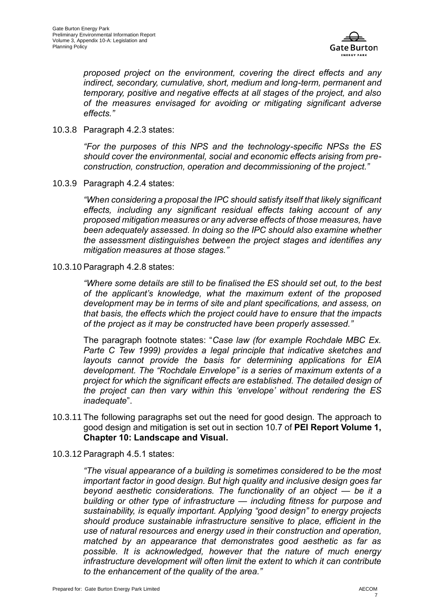

*proposed project on the environment, covering the direct effects and any indirect, secondary, cumulative, short, medium and long-term, permanent and temporary, positive and negative effects at all stages of the project, and also of the measures envisaged for avoiding or mitigating significant adverse effects."*

10.3.8 Paragraph 4.2.3 states:

*"For the purposes of this NPS and the technology-specific NPSs the ES should cover the environmental, social and economic effects arising from preconstruction, construction, operation and decommissioning of the project."*

10.3.9 Paragraph 4.2.4 states:

*"When considering a proposal the IPC should satisfy itself that likely significant effects, including any significant residual effects taking account of any proposed mitigation measures or any adverse effects of those measures, have been adequately assessed. In doing so the IPC should also examine whether the assessment distinguishes between the project stages and identifies any mitigation measures at those stages."*

10.3.10 Paragraph 4.2.8 states:

*"Where some details are still to be finalised the ES should set out, to the best of the applicant's knowledge, what the maximum extent of the proposed development may be in terms of site and plant specifications, and assess, on that basis, the effects which the project could have to ensure that the impacts of the project as it may be constructed have been properly assessed."*

The paragraph footnote states: "*Case law (for example Rochdale MBC Ex. Parte C Tew 1999) provides a legal principle that indicative sketches and layouts cannot provide the basis for determining applications for EIA development. The "Rochdale Envelope" is a series of maximum extents of a project for which the significant effects are established. The detailed design of the project can then vary within this 'envelope' without rendering the ES inadequate*".

- 10.3.11 The following paragraphs set out the need for good design. The approach to good design and mitigation is set out in section 10.7 of **PEI Report Volume 1, Chapter 10: Landscape and Visual.**
- 10.3.12 Paragraph 4.5.1 states:

*"The visual appearance of a building is sometimes considered to be the most important factor in good design. But high quality and inclusive design goes far beyond aesthetic considerations. The functionality of an object — be it a building or other type of infrastructure — including fitness for purpose and sustainability, is equally important. Applying "good design" to energy projects should produce sustainable infrastructure sensitive to place, efficient in the use of natural resources and energy used in their construction and operation, matched by an appearance that demonstrates good aesthetic as far as possible. It is acknowledged, however that the nature of much energy infrastructure development will often limit the extent to which it can contribute to the enhancement of the quality of the area."*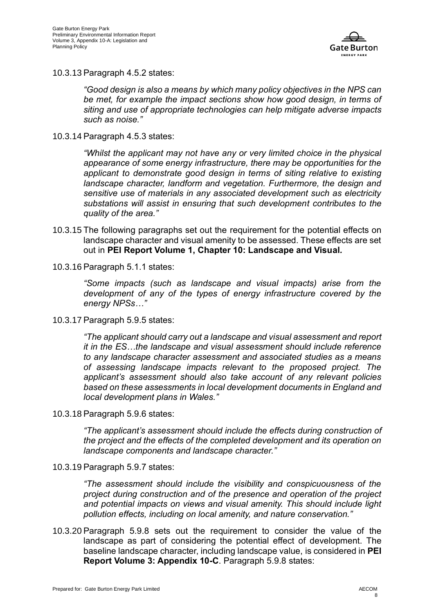

10.3.13 Paragraph 4.5.2 states:

*"Good design is also a means by which many policy objectives in the NPS can be met, for example the impact sections show how good design, in terms of siting and use of appropriate technologies can help mitigate adverse impacts such as noise."*

10.3.14 Paragraph 4.5.3 states:

*"Whilst the applicant may not have any or very limited choice in the physical appearance of some energy infrastructure, there may be opportunities for the applicant to demonstrate good design in terms of siting relative to existing landscape character, landform and vegetation. Furthermore, the design and sensitive use of materials in any associated development such as electricity substations will assist in ensuring that such development contributes to the quality of the area."*

- 10.3.15 The following paragraphs set out the requirement for the potential effects on landscape character and visual amenity to be assessed. These effects are set out in **PEI Report Volume 1, Chapter 10: Landscape and Visual***.*
- 10.3.16 Paragraph 5.1.1 states:

*"Some impacts (such as landscape and visual impacts) arise from the development of any of the types of energy infrastructure covered by the energy NPSs…"*

10.3.17 Paragraph 5.9.5 states:

*"The applicant should carry out a landscape and visual assessment and report it in the ES…the landscape and visual assessment should include reference to any landscape character assessment and associated studies as a means of assessing landscape impacts relevant to the proposed project. The applicant's assessment should also take account of any relevant policies based on these assessments in local development documents in England and local development plans in Wales."*

10.3.18 Paragraph 5.9.6 states:

*"The applicant's assessment should include the effects during construction of the project and the effects of the completed development and its operation on landscape components and landscape character."*

10.3.19 Paragraph 5.9.7 states:

*"The assessment should include the visibility and conspicuousness of the project during construction and of the presence and operation of the project and potential impacts on views and visual amenity. This should include light pollution effects, including on local amenity, and nature conservation."*

10.3.20 Paragraph 5.9.8 sets out the requirement to consider the value of the landscape as part of considering the potential effect of development. The baseline landscape character, including landscape value, is considered in **PEI Report Volume 3: Appendix 10-C**. Paragraph 5.9.8 states: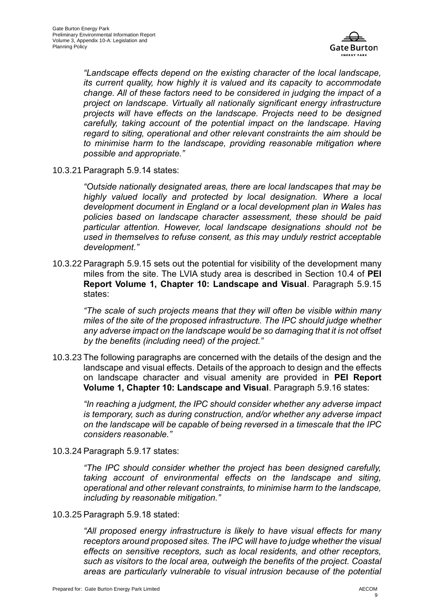

*"Landscape effects depend on the existing character of the local landscape, its current quality, how highly it is valued and its capacity to accommodate change. All of these factors need to be considered in judging the impact of a project on landscape. Virtually all nationally significant energy infrastructure projects will have effects on the landscape. Projects need to be designed*  carefully, taking account of the potential impact on the landscape. Having *regard to siting, operational and other relevant constraints the aim should be to minimise harm to the landscape, providing reasonable mitigation where possible and appropriate."*

10.3.21 Paragraph 5.9.14 states:

*"Outside nationally designated areas, there are local landscapes that may be highly valued locally and protected by local designation. Where a local development document in England or a local development plan in Wales has policies based on landscape character assessment, these should be paid particular attention. However, local landscape designations should not be used in themselves to refuse consent, as this may unduly restrict acceptable development."*

10.3.22 Paragraph 5.9.15 sets out the potential for visibility of the development many miles from the site. The LVIA study area is described in Section 10.4 of **PEI Report Volume 1, Chapter 10: Landscape and Visual**. Paragraph 5.9.15 states:

*"The scale of such projects means that they will often be visible within many miles of the site of the proposed infrastructure. The IPC should judge whether any adverse impact on the landscape would be so damaging that it is not offset by the benefits (including need) of the project."*

10.3.23 The following paragraphs are concerned with the details of the design and the landscape and visual effects. Details of the approach to design and the effects on landscape character and visual amenity are provided in **PEI Report Volume 1, Chapter 10: Landscape and Visual**. Paragraph 5.9.16 states:

*"In reaching a judgment, the IPC should consider whether any adverse impact is temporary, such as during construction, and/or whether any adverse impact on the landscape will be capable of being reversed in a timescale that the IPC considers reasonable."*

10.3.24 Paragraph 5.9.17 states:

*"The IPC should consider whether the project has been designed carefully, taking account of environmental effects on the landscape and siting, operational and other relevant constraints, to minimise harm to the landscape, including by reasonable mitigation."*

10.3.25 Paragraph 5.9.18 stated:

*"All proposed energy infrastructure is likely to have visual effects for many receptors around proposed sites. The IPC will have to judge whether the visual effects on sensitive receptors, such as local residents, and other receptors, such as visitors to the local area, outweigh the benefits of the project. Coastal areas are particularly vulnerable to visual intrusion because of the potential*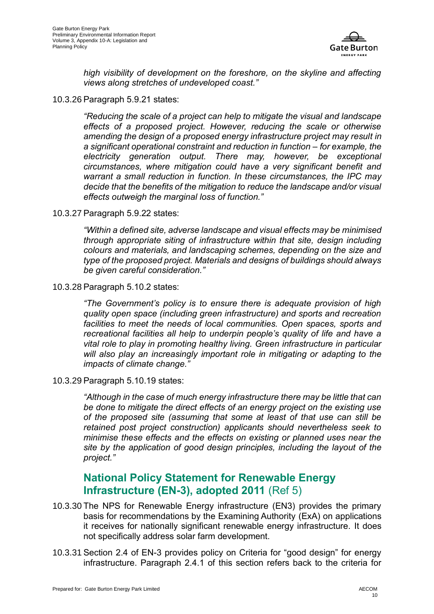

*high visibility of development on the foreshore, on the skyline and affecting views along stretches of undeveloped coast."*

10.3.26 Paragraph 5.9.21 states:

*"Reducing the scale of a project can help to mitigate the visual and landscape effects of a proposed project. However, reducing the scale or otherwise amending the design of a proposed energy infrastructure project may result in a significant operational constraint and reduction in function – for example, the electricity generation output. There may, however, be exceptional circumstances, where mitigation could have a very significant benefit and warrant a small reduction in function. In these circumstances, the IPC may decide that the benefits of the mitigation to reduce the landscape and/or visual effects outweigh the marginal loss of function."*

10.3.27 Paragraph 5.9.22 states:

*"Within a defined site, adverse landscape and visual effects may be minimised through appropriate siting of infrastructure within that site, design including colours and materials, and landscaping schemes, depending on the size and type of the proposed project. Materials and designs of buildings should always be given careful consideration."*

10.3.28 Paragraph 5.10.2 states:

*"The Government's policy is to ensure there is adequate provision of high quality open space (including green infrastructure) and sports and recreation*  facilities to meet the needs of local communities. Open spaces, sports and *recreational facilities all help to underpin people's quality of life and have a vital role to play in promoting healthy living. Green infrastructure in particular will also play an increasingly important role in mitigating or adapting to the impacts of climate change."*

10.3.29 Paragraph 5.10.19 states:

*"Although in the case of much energy infrastructure there may be little that can be done to mitigate the direct effects of an energy project on the existing use of the proposed site (assuming that some at least of that use can still be retained post project construction) applicants should nevertheless seek to minimise these effects and the effects on existing or planned uses near the site by the application of good design principles, including the layout of the project."*

#### **National Policy Statement for Renewable Energy Infrastructure (EN-3), adopted 2011** (Ref 5)

- 10.3.30 The NPS for Renewable Energy infrastructure (EN3) provides the primary basis for recommendations by the Examining Authority (ExA) on applications it receives for nationally significant renewable energy infrastructure. It does not specifically address solar farm development.
- 10.3.31 Section 2.4 of EN-3 provides policy on Criteria for "good design" for energy infrastructure. Paragraph 2.4.1 of this section refers back to the criteria for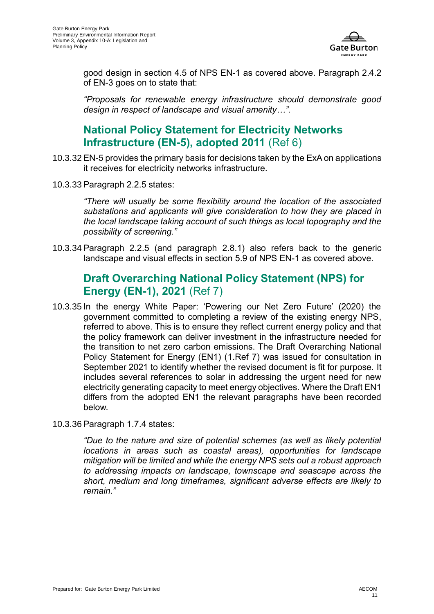

good design in section 4.5 of NPS EN-1 as covered above. Paragraph 2.4.2 of EN-3 goes on to state that:

*"Proposals for renewable energy infrastructure should demonstrate good design in respect of landscape and visual amenity…".*

#### **National Policy Statement for Electricity Networks Infrastructure (EN-5), adopted 2011** [\(Ref 6\)](#page-32-5)

- 10.3.32 EN-5 provides the primary basis for decisions taken by the ExA on applications it receives for electricity networks infrastructure.
- 10.3.33 Paragraph 2.2.5 states:

*"There will usually be some flexibility around the location of the associated substations and applicants will give consideration to how they are placed in the local landscape taking account of such things as local topography and the possibility of screening."*

10.3.34 Paragraph 2.2.5 (and paragraph 2.8.1) also refers back to the generic landscape and visual effects in section 5.9 of NPS EN-1 as covered above.

#### **Draft Overarching National Policy Statement (NPS) for Energy (EN-1), 2021** (Ref 7)

- 10.3.35 In the energy White Paper: 'Powering our Net Zero Future' (2020) the government committed to completing a review of the existing energy NPS, referred to above. This is to ensure they reflect current energy policy and that the policy framework can deliver investment in the infrastructure needed for the transition to net zero carbon emissions. The Draft Overarching National Policy Statement for Energy (EN1) [\(1.Ref 7\)](#page-32-6) was issued for consultation in September 2021 to identify whether the revised document is fit for purpose. It includes several references to solar in addressing the urgent need for new electricity generating capacity to meet energy objectives. Where the Draft EN1 differs from the adopted EN1 the relevant paragraphs have been recorded below.
- 10.3.36 Paragraph 1.7.4 states:

*"Due to the nature and size of potential schemes (as well as likely potential locations in areas such as coastal areas), opportunities for landscape mitigation will be limited and while the energy NPS sets out a robust approach to addressing impacts on landscape, townscape and seascape across the short, medium and long timeframes, significant adverse effects are likely to remain."*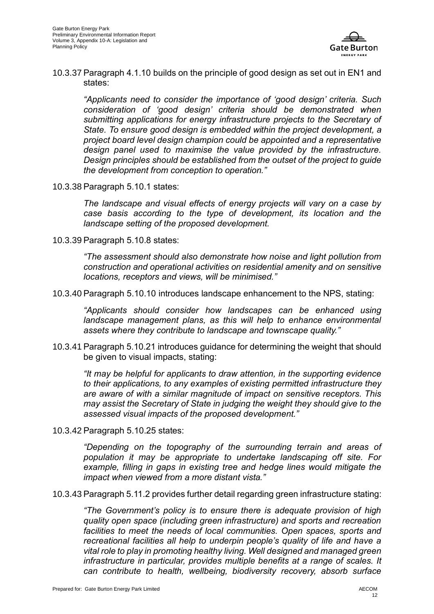

10.3.37 Paragraph 4.1.10 builds on the principle of good design as set out in EN1 and states:

*"Applicants need to consider the importance of 'good design' criteria. Such consideration of 'good design' criteria should be demonstrated when submitting applications for energy infrastructure projects to the Secretary of State. To ensure good design is embedded within the project development, a project board level design champion could be appointed and a representative design panel used to maximise the value provided by the infrastructure. Design principles should be established from the outset of the project to guide the development from conception to operation."*

10.3.38 Paragraph 5.10.1 states:

*The landscape and visual effects of energy projects will vary on a case by case basis according to the type of development, its location and the landscape setting of the proposed development.*

10.3.39 Paragraph 5.10.8 states:

*"The assessment should also demonstrate how noise and light pollution from construction and operational activities on residential amenity and on sensitive locations, receptors and views, will be minimised."*

10.3.40 Paragraph 5.10.10 introduces landscape enhancement to the NPS, stating:

*"Applicants should consider how landscapes can be enhanced using landscape management plans, as this will help to enhance environmental assets where they contribute to landscape and townscape quality."*

10.3.41 Paragraph 5.10.21 introduces guidance for determining the weight that should be given to visual impacts, stating:

*"It may be helpful for applicants to draw attention, in the supporting evidence to their applications, to any examples of existing permitted infrastructure they are aware of with a similar magnitude of impact on sensitive receptors. This may assist the Secretary of State in judging the weight they should give to the assessed visual impacts of the proposed development."*

10.3.42 Paragraph 5.10.25 states:

*"Depending on the topography of the surrounding terrain and areas of population it may be appropriate to undertake landscaping off site. For example, filling in gaps in existing tree and hedge lines would mitigate the impact when viewed from a more distant vista."*

10.3.43 Paragraph 5.11.2 provides further detail regarding green infrastructure stating:

*"The Government's policy is to ensure there is adequate provision of high quality open space (including green infrastructure) and sports and recreation*  facilities to meet the needs of local communities. Open spaces, sports and *recreational facilities all help to underpin people's quality of life and have a vital role to play in promoting healthy living. Well designed and managed green infrastructure in particular, provides multiple benefits at a range of scales. It can contribute to health, wellbeing, biodiversity recovery, absorb surface*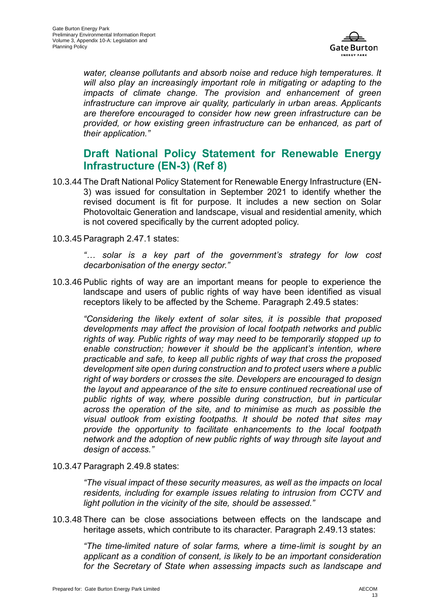

*water, cleanse pollutants and absorb noise and reduce high temperatures. It will also play an increasingly important role in mitigating or adapting to the impacts of climate change. The provision and enhancement of green infrastructure can improve air quality, particularly in urban areas. Applicants are therefore encouraged to consider how new green infrastructure can be provided, or how existing green infrastructure can be enhanced, as part of their application."*

#### **Draft National Policy Statement for Renewable Energy Infrastructure (EN-3) (Ref 8)**

- 10.3.44 The Draft National Policy Statement for Renewable Energy Infrastructure (EN-3) was issued for consultation in September 2021 to identify whether the revised document is fit for purpose. It includes a new section on Solar Photovoltaic Generation and landscape, visual and residential amenity, which is not covered specifically by the current adopted policy.
- 10.3.45 Paragraph 2.47.1 states:

*"… solar is a key part of the government's strategy for low cost decarbonisation of the energy sector."*

10.3.46 Public rights of way are an important means for people to experience the landscape and users of public rights of way have been identified as visual receptors likely to be affected by the Scheme. Paragraph 2.49.5 states:

*"Considering the likely extent of solar sites, it is possible that proposed developments may affect the provision of local footpath networks and public rights of way. Public rights of way may need to be temporarily stopped up to enable construction; however it should be the applicant's intention, where practicable and safe, to keep all public rights of way that cross the proposed development site open during construction and to protect users where a public right of way borders or crosses the site. Developers are encouraged to design the layout and appearance of the site to ensure continued recreational use of public rights of way, where possible during construction, but in particular across the operation of the site, and to minimise as much as possible the visual outlook from existing footpaths. It should be noted that sites may provide the opportunity to facilitate enhancements to the local footpath network and the adoption of new public rights of way through site layout and design of access."*

10.3.47 Paragraph 2.49.8 states:

*"The visual impact of these security measures, as well as the impacts on local residents, including for example issues relating to intrusion from CCTV and light pollution in the vicinity of the site, should be assessed."*

10.3.48 There can be close associations between effects on the landscape and heritage assets, which contribute to its character. Paragraph 2.49.13 states:

*"The time-limited nature of solar farms, where a time-limit is sought by an applicant as a condition of consent, is likely to be an important consideration for the Secretary of State when assessing impacts such as landscape and*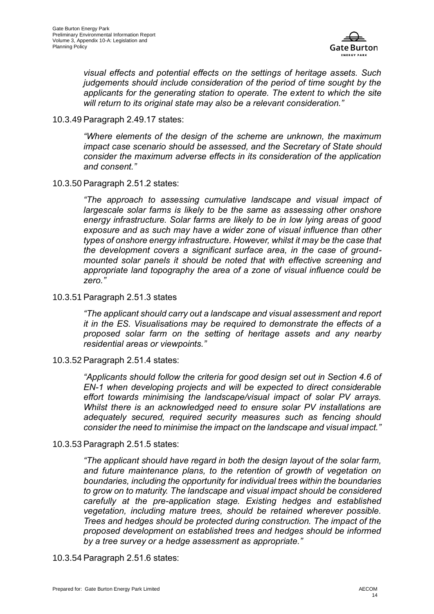

*visual effects and potential effects on the settings of heritage assets. Such judgements should include consideration of the period of time sought by the applicants for the generating station to operate. The extent to which the site will return to its original state may also be a relevant consideration."*

10.3.49 Paragraph 2.49.17 states:

*"Where elements of the design of the scheme are unknown, the maximum impact case scenario should be assessed, and the Secretary of State should consider the maximum adverse effects in its consideration of the application and consent."*

10.3.50 Paragraph 2.51.2 states:

*"The approach to assessing cumulative landscape and visual impact of largescale solar farms is likely to be the same as assessing other onshore energy infrastructure. Solar farms are likely to be in low lying areas of good exposure and as such may have a wider zone of visual influence than other types of onshore energy infrastructure. However, whilst it may be the case that the development covers a significant surface area, in the case of groundmounted solar panels it should be noted that with effective screening and appropriate land topography the area of a zone of visual influence could be zero."*

10.3.51 Paragraph 2.51.3 states

*"The applicant should carry out a landscape and visual assessment and report it in the ES. Visualisations may be required to demonstrate the effects of a proposed solar farm on the setting of heritage assets and any nearby residential areas or viewpoints."*

10.3.52 Paragraph 2.51.4 states:

*"Applicants should follow the criteria for good design set out in Section 4.6 of EN-1 when developing projects and will be expected to direct considerable effort towards minimising the landscape/visual impact of solar PV arrays. Whilst there is an acknowledged need to ensure solar PV installations are adequately secured, required security measures such as fencing should consider the need to minimise the impact on the landscape and visual impact."*

10.3.53 Paragraph 2.51.5 states:

*"The applicant should have regard in both the design layout of the solar farm, and future maintenance plans, to the retention of growth of vegetation on boundaries, including the opportunity for individual trees within the boundaries to grow on to maturity. The landscape and visual impact should be considered carefully at the pre-application stage. Existing hedges and established vegetation, including mature trees, should be retained wherever possible. Trees and hedges should be protected during construction. The impact of the proposed development on established trees and hedges should be informed by a tree survey or a hedge assessment as appropriate."*

10.3.54 Paragraph 2.51.6 states: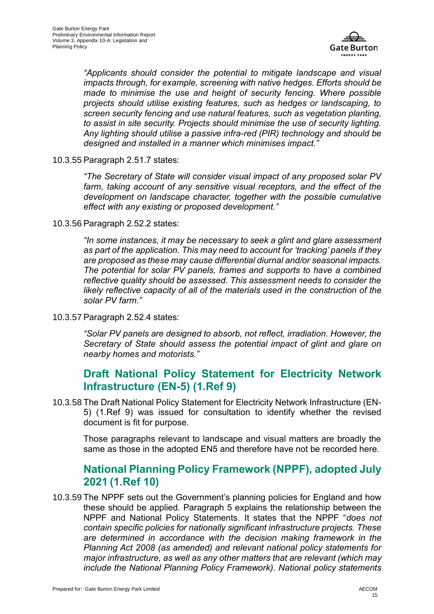

*"Applicants should consider the potential to mitigate landscape and visual impacts through, for example, screening with native hedges. Efforts should be made to minimise the use and height of security fencing. Where possible projects should utilise existing features, such as hedges or landscaping, to screen security fencing and use natural features, such as vegetation planting, to assist in site security. Projects should minimise the use of security lighting. Any lighting should utilise a passive infra-red (PIR) technology and should be designed and installed in a manner which minimises impact."*

10.3.55 Paragraph 2.51.7 states:

*"The Secretary of State will consider visual impact of any proposed solar PV farm, taking account of any sensitive visual receptors, and the effect of the development on landscape character, together with the possible cumulative effect with any existing or proposed development."*

10.3.56 Paragraph 2.52.2 states:

*"In some instances, it may be necessary to seek a glint and glare assessment as part of the application. This may need to account for 'tracking' panels if they are proposed as these may cause differential diurnal and/or seasonal impacts. The potential for solar PV panels, frames and supports to have a combined reflective quality should be assessed. This assessment needs to consider the likely reflective capacity of all of the materials used in the construction of the solar PV farm."*

10.3.57 Paragraph 2.52.4 states:

*"Solar PV panels are designed to absorb, not reflect, irradiation. However, the Secretary of State should assess the potential impact of glint and glare on nearby homes and motorists."*

#### **Draft National Policy Statement for Electricity Network Infrastructure (EN-5) [\(1.Ref 9\)](#page-32-7)**

10.3.58 The Draft National Policy Statement for Electricity Network Infrastructure (EN-5) [\(1.Ref 9\)](#page-32-8) was issued for consultation to identify whether the revised document is fit for purpose.

Those paragraphs relevant to landscape and visual matters are broadly the same as those in the adopted EN5 and therefore have not be recorded here.

### **National Planning Policy Framework (NPPF), adopted July 2021 [\(1.Ref 10\)](#page-32-9)**

10.3.59 The NPPF sets out the Government's planning policies for England and how these should be applied. Paragraph 5 explains the relationship between the NPPF and National Policy Statements. It states that the NPPF "*does not contain specific policies for nationally significant infrastructure projects. These are determined in accordance with the decision making framework in the Planning Act 2008 (as amended) and relevant national policy statements for major infrastructure, as well as any other matters that are relevant (which may include the National Planning Policy Framework). National policy statements*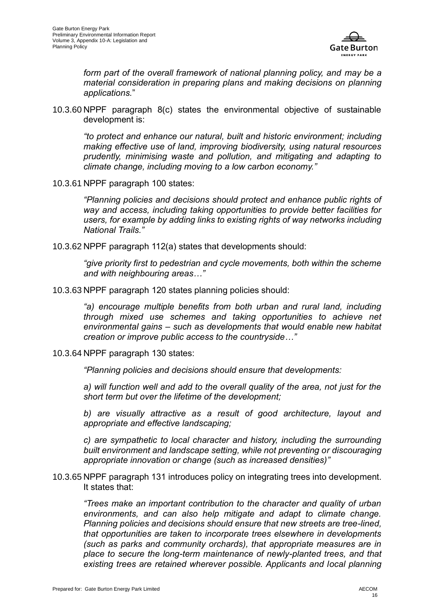

*form part of the overall framework of national planning policy, and may be a material consideration in preparing plans and making decisions on planning applications.*"

10.3.60 NPPF paragraph 8(c) states the environmental objective of sustainable development is:

*"to protect and enhance our natural, built and historic environment; including making effective use of land, improving biodiversity, using natural resources prudently, minimising waste and pollution, and mitigating and adapting to climate change, including moving to a low carbon economy."*

10.3.61 NPPF paragraph 100 states:

*"Planning policies and decisions should protect and enhance public rights of way and access, including taking opportunities to provide better facilities for users, for example by adding links to existing rights of way networks including National Trails."*

10.3.62 NPPF paragraph 112(a) states that developments should:

*"give priority first to pedestrian and cycle movements, both within the scheme and with neighbouring areas…"*

10.3.63 NPPF paragraph 120 states planning policies should:

*"a) encourage multiple benefits from both urban and rural land, including through mixed use schemes and taking opportunities to achieve net environmental gains – such as developments that would enable new habitat creation or improve public access to the countryside…"*

10.3.64 NPPF paragraph 130 states:

*"Planning policies and decisions should ensure that developments:*

a) will function well and add to the overall quality of the area, not just for the *short term but over the lifetime of the development;*

*b) are visually attractive as a result of good architecture, layout and appropriate and effective landscaping;*

*c) are sympathetic to local character and history, including the surrounding built environment and landscape setting, while not preventing or discouraging appropriate innovation or change (such as increased densities)"*

10.3.65 NPPF paragraph 131 introduces policy on integrating trees into development. It states that:

*"Trees make an important contribution to the character and quality of urban environments, and can also help mitigate and adapt to climate change. Planning policies and decisions should ensure that new streets are tree-lined, that opportunities are taken to incorporate trees elsewhere in developments (such as parks and community orchards), that appropriate measures are in place to secure the long-term maintenance of newly-planted trees, and that existing trees are retained wherever possible. Applicants and local planning*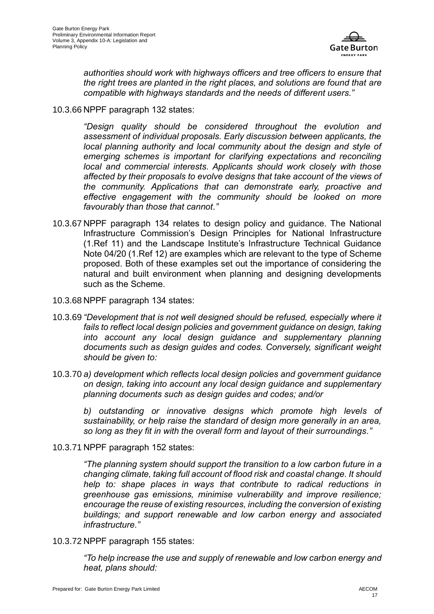

*authorities should work with highways officers and tree officers to ensure that the right trees are planted in the right places, and solutions are found that are compatible with highways standards and the needs of different users."*

#### 10.3.66 NPPF paragraph 132 states:

*"Design quality should be considered throughout the evolution and assessment of individual proposals. Early discussion between applicants, the local planning authority and local community about the design and style of emerging schemes is important for clarifying expectations and reconciling local and commercial interests. Applicants should work closely with those affected by their proposals to evolve designs that take account of the views of the community. Applications that can demonstrate early, proactive and effective engagement with the community should be looked on more favourably than those that cannot."*

- 10.3.67 NPPF paragraph 134 relates to design policy and guidance. The National Infrastructure Commission's Design Principles for National Infrastructure [\(1.Ref 11\)](#page-32-10) and the Landscape Institute's Infrastructure Technical Guidance Note 04/20 [\(1.Ref 12\)](#page-32-11) are examples which are relevant to the type of Scheme proposed. Both of these examples set out the importance of considering the natural and built environment when planning and designing developments such as the Scheme.
- 10.3.68 NPPF paragraph 134 states:
- 10.3.69 *"Development that is not well designed should be refused, especially where it fails to reflect local design policies and government guidance on design, taking into account any local design guidance and supplementary planning documents such as design guides and codes. Conversely, significant weight should be given to:*
- 10.3.70 *a) development which reflects local design policies and government guidance on design, taking into account any local design guidance and supplementary planning documents such as design guides and codes; and/or*

*b) outstanding or innovative designs which promote high levels of sustainability, or help raise the standard of design more generally in an area, so long as they fit in with the overall form and layout of their surroundings."*

10.3.71 NPPF paragraph 152 states:

*"The planning system should support the transition to a low carbon future in a changing climate, taking full account of flood risk and coastal change. It should help to: shape places in ways that contribute to radical reductions in greenhouse gas emissions, minimise vulnerability and improve resilience; encourage the reuse of existing resources, including the conversion of existing buildings; and support renewable and low carbon energy and associated infrastructure."*

10.3.72 NPPF paragraph 155 states:

*"To help increase the use and supply of renewable and low carbon energy and heat, plans should:*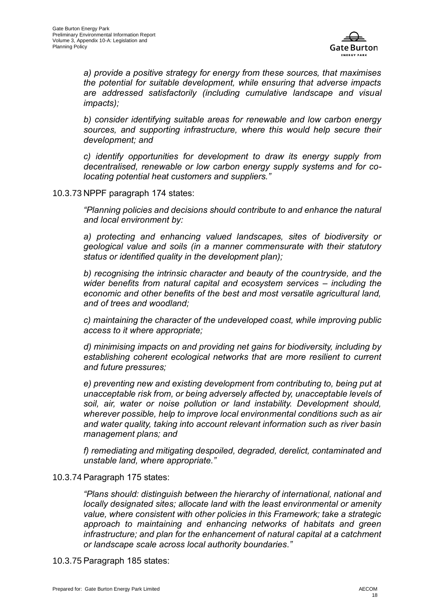

*a) provide a positive strategy for energy from these sources, that maximises the potential for suitable development, while ensuring that adverse impacts are addressed satisfactorily (including cumulative landscape and visual impacts);*

*b) consider identifying suitable areas for renewable and low carbon energy sources, and supporting infrastructure, where this would help secure their development; and*

*c) identify opportunities for development to draw its energy supply from decentralised, renewable or low carbon energy supply systems and for colocating potential heat customers and suppliers."*

#### 10.3.73 NPPF paragraph 174 states:

*"Planning policies and decisions should contribute to and enhance the natural and local environment by:*

*a) protecting and enhancing valued landscapes, sites of biodiversity or geological value and soils (in a manner commensurate with their statutory status or identified quality in the development plan);*

*b) recognising the intrinsic character and beauty of the countryside, and the wider benefits from natural capital and ecosystem services – including the economic and other benefits of the best and most versatile agricultural land, and of trees and woodland;*

*c) maintaining the character of the undeveloped coast, while improving public access to it where appropriate;*

*d) minimising impacts on and providing net gains for biodiversity, including by establishing coherent ecological networks that are more resilient to current and future pressures;*

*e) preventing new and existing development from contributing to, being put at unacceptable risk from, or being adversely affected by, unacceptable levels of soil, air, water or noise pollution or land instability. Development should, wherever possible, help to improve local environmental conditions such as air and water quality, taking into account relevant information such as river basin management plans; and*

*f) remediating and mitigating despoiled, degraded, derelict, contaminated and unstable land, where appropriate."*

#### 10.3.74 Paragraph 175 states:

*"Plans should: distinguish between the hierarchy of international, national and locally designated sites; allocate land with the least environmental or amenity value, where consistent with other policies in this Framework; take a strategic approach to maintaining and enhancing networks of habitats and green infrastructure; and plan for the enhancement of natural capital at a catchment or landscape scale across local authority boundaries."*

10.3.75 Paragraph 185 states: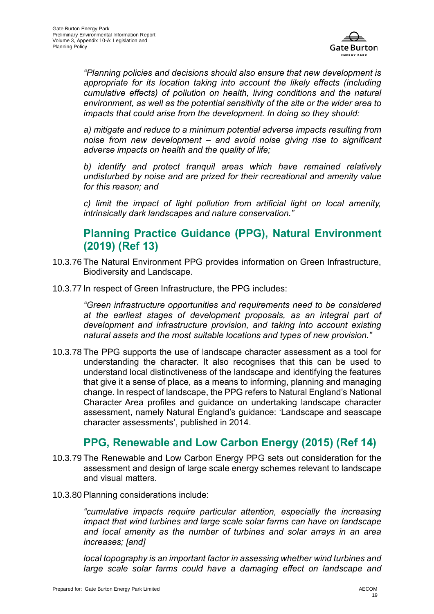

*"Planning policies and decisions should also ensure that new development is*  appropriate for its location taking into account the likely effects (including *cumulative effects) of pollution on health, living conditions and the natural environment, as well as the potential sensitivity of the site or the wider area to impacts that could arise from the development. In doing so they should:*

*a) mitigate and reduce to a minimum potential adverse impacts resulting from noise from new development – and avoid noise giving rise to significant adverse impacts on health and the quality of life;*

*b) identify and protect tranquil areas which have remained relatively undisturbed by noise and are prized for their recreational and amenity value for this reason; and*

*c) limit the impact of light pollution from artificial light on local amenity, intrinsically dark landscapes and nature conservation."*

#### **Planning Practice Guidance (PPG), Natural Environment (2019) [\(Ref 13\)](#page-32-12)**

- 10.3.76 The Natural Environment PPG provides information on Green Infrastructure, Biodiversity and Landscape.
- 10.3.77 In respect of Green Infrastructure, the PPG includes:

*"Green infrastructure opportunities and requirements need to be considered at the earliest stages of development proposals, as an integral part of development and infrastructure provision, and taking into account existing natural assets and the most suitable locations and types of new provision."*

10.3.78 The PPG supports the use of landscape character assessment as a tool for understanding the character. It also recognises that this can be used to understand local distinctiveness of the landscape and identifying the features that give it a sense of place, as a means to informing, planning and managing change. In respect of landscape, the PPG refers to Natural England's National Character Area profiles and guidance on undertaking landscape character assessment, namely Natural England's guidance: 'Landscape and seascape character assessments', published in 2014.

### **PPG, Renewable and Low Carbon Energy (2015) [\(Ref 14\)](#page-32-13)**

- 10.3.79 The Renewable and Low Carbon Energy PPG sets out consideration for the assessment and design of large scale energy schemes relevant to landscape and visual matters.
- 10.3.80 Planning considerations include:

*"cumulative impacts require particular attention, especially the increasing impact that wind turbines and large scale solar farms can have on landscape and local amenity as the number of turbines and solar arrays in an area increases; [and]*

*local topography is an important factor in assessing whether wind turbines and large scale solar farms could have a damaging effect on landscape and*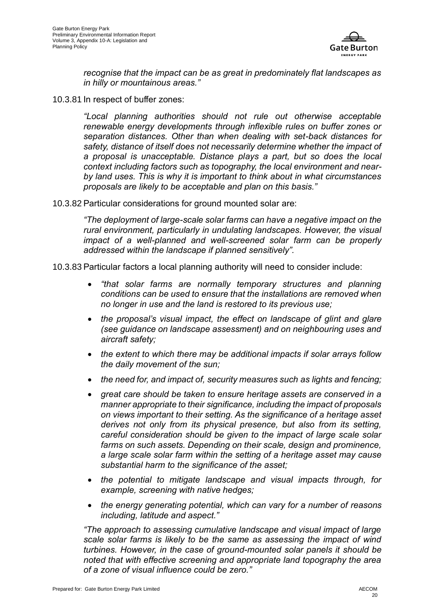

*recognise that the impact can be as great in predominately flat landscapes as in hilly or mountainous areas."*

10.3.81 In respect of buffer zones:

*"Local planning authorities should not rule out otherwise acceptable renewable energy developments through inflexible rules on buffer zones or separation distances. Other than when dealing with set-back distances for safety, distance of itself does not necessarily determine whether the impact of a proposal is unacceptable. Distance plays a part, but so does the local context including factors such as topography, the local environment and nearby land uses. This is why it is important to think about in what circumstances proposals are likely to be acceptable and plan on this basis."*

10.3.82 Particular considerations for ground mounted solar are:

*"The deployment of large-scale solar farms can have a negative impact on the rural environment, particularly in undulating landscapes. However, the visual impact of a well-planned and well-screened solar farm can be properly addressed within the landscape if planned sensitively".*

10.3.83 Particular factors a local planning authority will need to consider include:

- *"that solar farms are normally temporary structures and planning conditions can be used to ensure that the installations are removed when no longer in use and the land is restored to its previous use;*
- *the proposal's visual impact, the effect on landscape of glint and glare (see guidance on landscape assessment) and on neighbouring uses and aircraft safety;*
- *the extent to which there may be additional impacts if solar arrays follow the daily movement of the sun;*
- *the need for, and impact of, security measures such as lights and fencing;*
- *great care should be taken to ensure heritage assets are conserved in a manner appropriate to their significance, including the impact of proposals on views important to their setting. As the significance of a heritage asset derives not only from its physical presence, but also from its setting, careful consideration should be given to the impact of large scale solar farms on such assets. Depending on their scale, design and prominence, a large scale solar farm within the setting of a heritage asset may cause substantial harm to the significance of the asset;*
- *the potential to mitigate landscape and visual impacts through, for example, screening with native hedges;*
- *the energy generating potential, which can vary for a number of reasons including, latitude and aspect."*

*"The approach to assessing cumulative landscape and visual impact of large scale solar farms is likely to be the same as assessing the impact of wind turbines. However, in the case of ground-mounted solar panels it should be noted that with effective screening and appropriate land topography the area of a zone of visual influence could be zero."*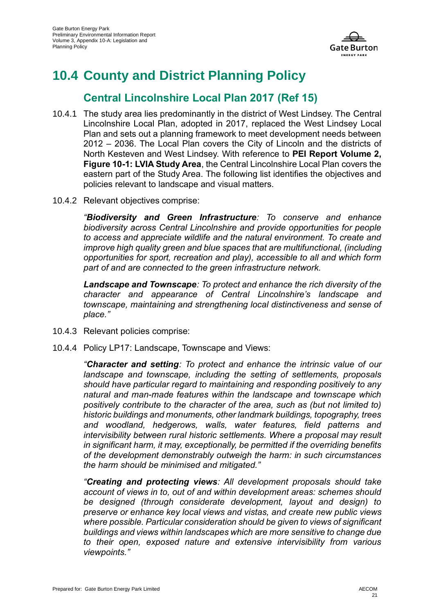

## <span id="page-20-0"></span>**10.4 County and District Planning Policy**

### **Central Lincolnshire Local Plan 2017 [\(Ref 15\)](#page-32-14)**

- 10.4.1 The study area lies predominantly in the district of West Lindsey. The Central Lincolnshire Local Plan, adopted in 2017, replaced the West Lindsey Local Plan and sets out a planning framework to meet development needs between 2012 – 2036. The Local Plan covers the City of Lincoln and the districts of North Kesteven and West Lindsey. With reference to **PEI Report Volume 2, Figure 10-1: LVIA Study Area**, the Central Lincolnshire Local Plan covers the eastern part of the Study Area. The following list identifies the objectives and policies relevant to landscape and visual matters.
- 10.4.2 Relevant objectives comprise:

*"Biodiversity and Green Infrastructure: To conserve and enhance biodiversity across Central Lincolnshire and provide opportunities for people to access and appreciate wildlife and the natural environment. To create and improve high quality green and blue spaces that are multifunctional, (including opportunities for sport, recreation and play), accessible to all and which form part of and are connected to the green infrastructure network.* 

*Landscape and Townscape: To protect and enhance the rich diversity of the character and appearance of Central Lincolnshire's landscape and townscape, maintaining and strengthening local distinctiveness and sense of place."*

- 10.4.3 Relevant policies comprise:
- 10.4.4 Policy LP17: Landscape, Townscape and Views:

*"Character and setting: To protect and enhance the intrinsic value of our landscape and townscape, including the setting of settlements, proposals should have particular regard to maintaining and responding positively to any natural and man-made features within the landscape and townscape which positively contribute to the character of the area, such as (but not limited to) historic buildings and monuments, other landmark buildings, topography, trees and woodland, hedgerows, walls, water features, field patterns and intervisibility between rural historic settlements. Where a proposal may result in significant harm, it may, exceptionally, be permitted if the overriding benefits of the development demonstrably outweigh the harm: in such circumstances the harm should be minimised and mitigated."*

*"Creating and protecting views: All development proposals should take account of views in to, out of and within development areas: schemes should be designed (through considerate development, layout and design) to preserve or enhance key local views and vistas, and create new public views where possible. Particular consideration should be given to views of significant buildings and views within landscapes which are more sensitive to change due to their open, exposed nature and extensive intervisibility from various viewpoints."*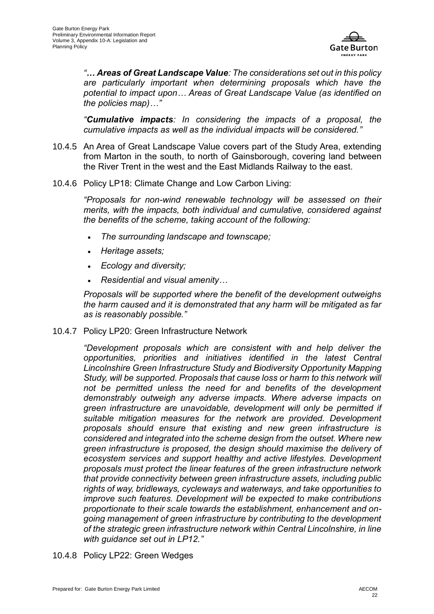

*"… Areas of Great Landscape Value: The considerations set out in this policy are particularly important when determining proposals which have the potential to impact upon… Areas of Great Landscape Value (as identified on the policies map)…"*

*"Cumulative impacts: In considering the impacts of a proposal, the cumulative impacts as well as the individual impacts will be considered."*

- 10.4.5 An Area of Great Landscape Value covers part of the Study Area, extending from Marton in the south, to north of Gainsborough, covering land between the River Trent in the west and the East Midlands Railway to the east.
- 10.4.6 Policy LP18: Climate Change and Low Carbon Living:

*"Proposals for non-wind renewable technology will be assessed on their merits, with the impacts, both individual and cumulative, considered against the benefits of the scheme, taking account of the following:* 

- *The surrounding landscape and townscape;*
- *Heritage assets;*
- *Ecology and diversity;*
- *Residential and visual amenity…*

*Proposals will be supported where the benefit of the development outweighs the harm caused and it is demonstrated that any harm will be mitigated as far as is reasonably possible."*

10.4.7 Policy LP20: Green Infrastructure Network

*"Development proposals which are consistent with and help deliver the opportunities, priorities and initiatives identified in the latest Central Lincolnshire Green Infrastructure Study and Biodiversity Opportunity Mapping Study, will be supported. Proposals that cause loss or harm to this network will not be permitted unless the need for and benefits of the development demonstrably outweigh any adverse impacts. Where adverse impacts on green infrastructure are unavoidable, development will only be permitted if suitable mitigation measures for the network are provided. Development proposals should ensure that existing and new green infrastructure is considered and integrated into the scheme design from the outset. Where new green infrastructure is proposed, the design should maximise the delivery of ecosystem services and support healthy and active lifestyles. Development proposals must protect the linear features of the green infrastructure network that provide connectivity between green infrastructure assets, including public rights of way, bridleways, cycleways and waterways, and take opportunities to improve such features. Development will be expected to make contributions proportionate to their scale towards the establishment, enhancement and ongoing management of green infrastructure by contributing to the development of the strategic green infrastructure network within Central Lincolnshire, in line with guidance set out in LP12."*

10.4.8 Policy LP22: Green Wedges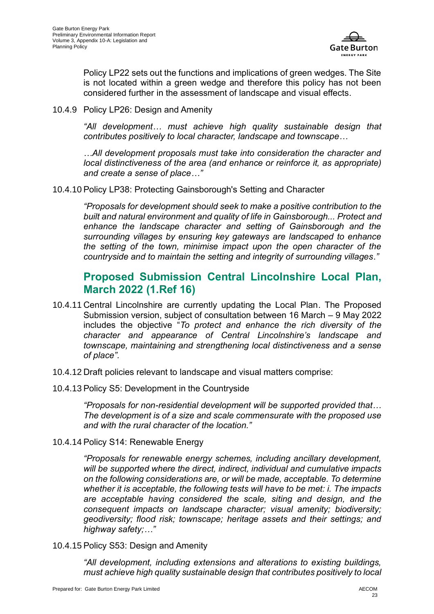

Policy LP22 sets out the functions and implications of green wedges. The Site is not located within a green wedge and therefore this policy has not been considered further in the assessment of landscape and visual effects.

10.4.9 Policy LP26: Design and Amenity

*"All development… must achieve high quality sustainable design that contributes positively to local character, landscape and townscape…* 

*…All development proposals must take into consideration the character and local distinctiveness of the area (and enhance or reinforce it, as appropriate) and create a sense of place…"*

10.4.10 Policy LP38: Protecting Gainsborough's Setting and Character

*"Proposals for development should seek to make a positive contribution to the built and natural environment and quality of life in Gainsborough... Protect and enhance the landscape character and setting of Gainsborough and the surrounding villages by ensuring key gateways are landscaped to enhance the setting of the town, minimise impact upon the open character of the countryside and to maintain the setting and integrity of surrounding villages*.*"*

#### **Proposed Submission Central Lincolnshire Local Plan, March 2022 [\(1.Ref 16\)](#page-32-15)**

- 10.4.11 Central Lincolnshire are currently updating the Local Plan. The Proposed Submission version, subject of consultation between 16 March – 9 May 2022 includes the objective "*To protect and enhance the rich diversity of the character and appearance of Central Lincolnshire's landscape and townscape, maintaining and strengthening local distinctiveness and a sense of place".*
- 10.4.12 Draft policies relevant to landscape and visual matters comprise:
- 10.4.13 Policy S5: Development in the Countryside

*"Proposals for non-residential development will be supported provided that… The development is of a size and scale commensurate with the proposed use and with the rural character of the location."*

10.4.14 Policy S14: Renewable Energy

*"Proposals for renewable energy schemes, including ancillary development, will be supported where the direct, indirect, individual and cumulative impacts on the following considerations are, or will be made, acceptable. To determine whether it is acceptable, the following tests will have to be met: i. The impacts are acceptable having considered the scale, siting and design, and the consequent impacts on landscape character; visual amenity; biodiversity; geodiversity; flood risk; townscape; heritage assets and their settings; and highway safety;…"*

10.4.15 Policy S53: Design and Amenity

*"All development, including extensions and alterations to existing buildings, must achieve high quality sustainable design that contributes positively to local*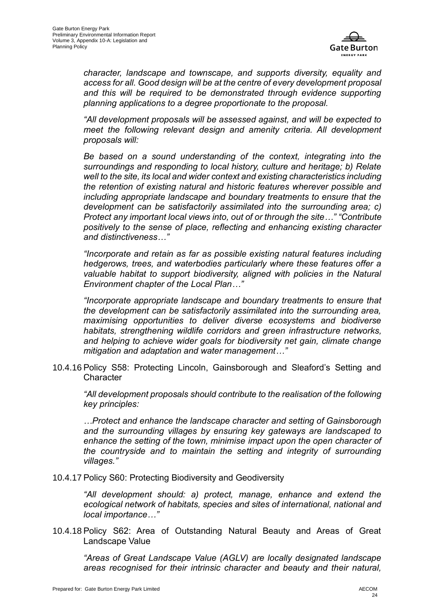

*character, landscape and townscape, and supports diversity, equality and access for all. Good design will be at the centre of every development proposal*  and this will be required to be demonstrated through evidence supporting *planning applications to a degree proportionate to the proposal.*

*"All development proposals will be assessed against, and will be expected to meet the following relevant design and amenity criteria. All development proposals will:* 

*Be based on a sound understanding of the context, integrating into the surroundings and responding to local history, culture and heritage; b) Relate well to the site, its local and wider context and existing characteristics including the retention of existing natural and historic features wherever possible and including appropriate landscape and boundary treatments to ensure that the development can be satisfactorily assimilated into the surrounding area; c) Protect any important local views into, out of or through the site…" "Contribute positively to the sense of place, reflecting and enhancing existing character and distinctiveness…"*

*"Incorporate and retain as far as possible existing natural features including hedgerows, trees, and waterbodies particularly where these features offer a valuable habitat to support biodiversity, aligned with policies in the Natural Environment chapter of the Local Plan…"*

*"Incorporate appropriate landscape and boundary treatments to ensure that the development can be satisfactorily assimilated into the surrounding area, maximising opportunities to deliver diverse ecosystems and biodiverse habitats, strengthening wildlife corridors and green infrastructure networks, and helping to achieve wider goals for biodiversity net gain, climate change mitigation and adaptation and water management…"*

10.4.16 Policy S58: Protecting Lincoln, Gainsborough and Sleaford's Setting and **Character** 

*"All development proposals should contribute to the realisation of the following key principles:*

*…Protect and enhance the landscape character and setting of Gainsborough and the surrounding villages by ensuring key gateways are landscaped to enhance the setting of the town, minimise impact upon the open character of the countryside and to maintain the setting and integrity of surrounding villages."*

10.4.17 Policy S60: Protecting Biodiversity and Geodiversity

*"All development should: a) protect, manage, enhance and extend the ecological network of habitats, species and sites of international, national and local importance…"*

10.4.18 Policy S62: Area of Outstanding Natural Beauty and Areas of Great Landscape Value

*"Areas of Great Landscape Value (AGLV) are locally designated landscape areas recognised for their intrinsic character and beauty and their natural,*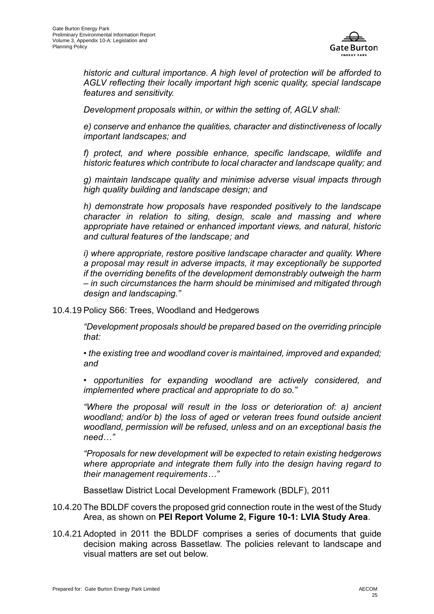

*historic and cultural importance. A high level of protection will be afforded to AGLV reflecting their locally important high scenic quality, special landscape features and sensitivity.* 

*Development proposals within, or within the setting of, AGLV shall:* 

*e) conserve and enhance the qualities, character and distinctiveness of locally important landscapes; and* 

*f) protect, and where possible enhance, specific landscape, wildlife and historic features which contribute to local character and landscape quality; and* 

*g) maintain landscape quality and minimise adverse visual impacts through high quality building and landscape design; and* 

*h) demonstrate how proposals have responded positively to the landscape character in relation to siting, design, scale and massing and where appropriate have retained or enhanced important views, and natural, historic and cultural features of the landscape; and* 

*i) where appropriate, restore positive landscape character and quality. Where a proposal may result in adverse impacts, it may exceptionally be supported if the overriding benefits of the development demonstrably outweigh the harm – in such circumstances the harm should be minimised and mitigated through design and landscaping."*

#### 10.4.19 Policy S66: Trees, Woodland and Hedgerows

*"Development proposals should be prepared based on the overriding principle that:* 

*• the existing tree and woodland cover is maintained, improved and expanded; and* 

*• opportunities for expanding woodland are actively considered, and implemented where practical and appropriate to do so."*

*"Where the proposal will result in the loss or deterioration of: a) ancient woodland; and/or b) the loss of aged or veteran trees found outside ancient woodland, permission will be refused, unless and on an exceptional basis the need…"*

*"Proposals for new development will be expected to retain existing hedgerows where appropriate and integrate them fully into the design having regard to their management requirements…"*

Bassetlaw District Local Development Framework (BDLF), 2011

- 10.4.20 The BDLDF covers the proposed grid connection route in the west of the Study Area, as shown on **PEI Report Volume 2, Figure 10-1: LVIA Study Area**.
- 10.4.21 Adopted in 2011 the BDLDF comprises a series of documents that guide decision making across Bassetlaw. The policies relevant to landscape and visual matters are set out below.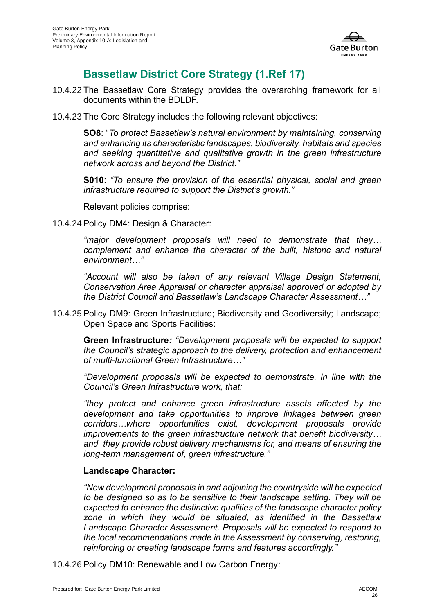

## **Bassetlaw District Core Strategy [\(1.Ref 17\)](#page-32-16)**

- 10.4.22 The Bassetlaw Core Strategy provides the overarching framework for all documents within the BDLDF.
- 10.4.23 The Core Strategy includes the following relevant objectives:

**SO8**: "*To protect Bassetlaw's natural environment by maintaining, conserving and enhancing its characteristic landscapes, biodiversity, habitats and species*  and seeking quantitative and qualitative growth in the green infrastructure *network across and beyond the District."*

**S010**: *"To ensure the provision of the essential physical, social and green infrastructure required to support the District's growth."*

Relevant policies comprise:

10.4.24 Policy DM4: Design & Character:

*"major development proposals will need to demonstrate that they… complement and enhance the character of the built, historic and natural environment…"*

*"Account will also be taken of any relevant Village Design Statement, Conservation Area Appraisal or character appraisal approved or adopted by the District Council and Bassetlaw's Landscape Character Assessment…"*

10.4.25 Policy DM9: Green Infrastructure; Biodiversity and Geodiversity; Landscape; Open Space and Sports Facilities:

**Green Infrastructure***: "Development proposals will be expected to support the Council's strategic approach to the delivery, protection and enhancement of multi-functional Green Infrastructure…"* 

*"Development proposals will be expected to demonstrate, in line with the Council's Green Infrastructure work, that:*

*"they protect and enhance green infrastructure assets affected by the development and take opportunities to improve linkages between green corridors…where opportunities exist, development proposals provide improvements to the green infrastructure network that benefit biodiversity… and they provide robust delivery mechanisms for, and means of ensuring the long-term management of, green infrastructure."*

#### **Landscape Character:**

*"New development proposals in and adjoining the countryside will be expected to be designed so as to be sensitive to their landscape setting. They will be expected to enhance the distinctive qualities of the landscape character policy zone in which they would be situated, as identified in the Bassetlaw*  Landscape Character Assessment. Proposals will be expected to respond to *the local recommendations made in the Assessment by conserving, restoring, reinforcing or creating landscape forms and features accordingly."*

10.4.26 Policy DM10: Renewable and Low Carbon Energy: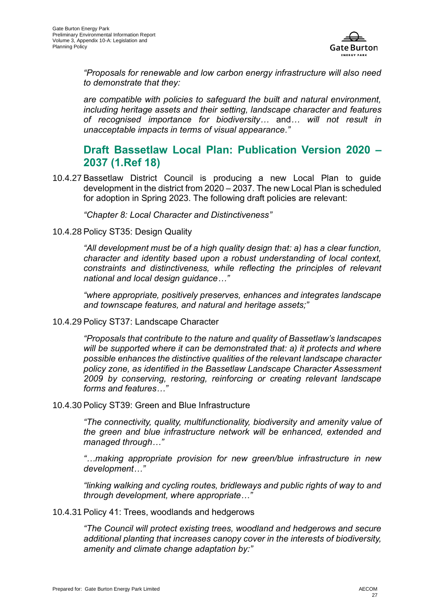

*"Proposals for renewable and low carbon energy infrastructure will also need to demonstrate that they:*

*are compatible with policies to safeguard the built and natural environment, including heritage assets and their setting, landscape character and features of recognised importance for biodiversity…* and*… will not result in unacceptable impacts in terms of visual appearance."*

#### **Draft Bassetlaw Local Plan: Publication Version 2020 – 2037 [\(1.Ref 18\)](#page-32-17)**

10.4.27 Bassetlaw District Council is producing a new Local Plan to guide development in the district from 2020 – 2037. The new Local Plan is scheduled for adoption in Spring 2023. The following draft policies are relevant:

*"Chapter 8: Local Character and Distinctiveness"*

10.4.28 Policy ST35: Design Quality

*"All development must be of a high quality design that: a) has a clear function, character and identity based upon a robust understanding of local context, constraints and distinctiveness, while reflecting the principles of relevant national and local design guidance…"*

*"where appropriate, positively preserves, enhances and integrates landscape and townscape features, and natural and heritage assets;"*

10.4.29 Policy ST37: Landscape Character

*"Proposals that contribute to the nature and quality of Bassetlaw's landscapes will be supported where it can be demonstrated that: a) it protects and where possible enhances the distinctive qualities of the relevant landscape character policy zone, as identified in the Bassetlaw Landscape Character Assessment 2009 by conserving, restoring, reinforcing or creating relevant landscape forms and features…"*

10.4.30 Policy ST39: Green and Blue Infrastructure

*"The connectivity, quality, multifunctionality, biodiversity and amenity value of the green and blue infrastructure network will be enhanced, extended and managed through…"*

*"…making appropriate provision for new green/blue infrastructure in new development…"*

*"linking walking and cycling routes, bridleways and public rights of way to and through development, where appropriate…"*

10.4.31 Policy 41: Trees, woodlands and hedgerows

*"The Council will protect existing trees, woodland and hedgerows and secure additional planting that increases canopy cover in the interests of biodiversity, amenity and climate change adaptation by:"*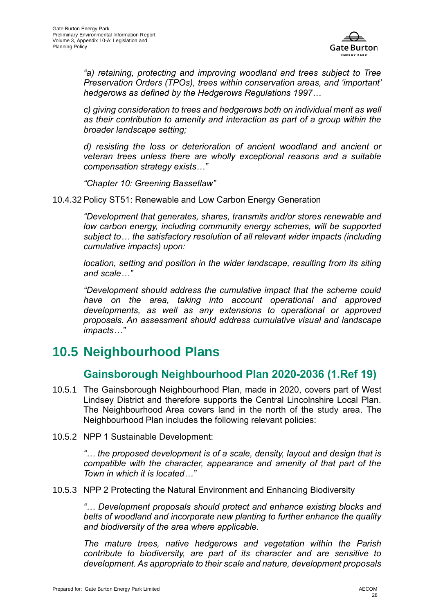

*"a) retaining, protecting and improving woodland and trees subject to Tree Preservation Orders (TPOs), trees within conservation areas, and 'important' hedgerows as defined by the Hedgerows Regulations 1997…*

*c) giving consideration to trees and hedgerows both on individual merit as well as their contribution to amenity and interaction as part of a group within the broader landscape setting;* 

*d) resisting the loss or deterioration of ancient woodland and ancient or veteran trees unless there are wholly exceptional reasons and a suitable compensation strategy exists…"*

*"Chapter 10: Greening Bassetlaw"*

10.4.32 Policy ST51: Renewable and Low Carbon Energy Generation

*"Development that generates, shares, transmits and/or stores renewable and low carbon energy, including community energy schemes, will be supported subject to… the satisfactory resolution of all relevant wider impacts (including cumulative impacts) upon:*

*location, setting and position in the wider landscape, resulting from its siting and scale…"*

*"Development should address the cumulative impact that the scheme could have on the area, taking into account operational and approved developments, as well as any extensions to operational or approved proposals. An assessment should address cumulative visual and landscape impacts…"*

## <span id="page-27-0"></span>**10.5 Neighbourhood Plans**

#### **Gainsborough Neighbourhood Plan 2020-2036 [\(1.Ref 19\)](#page-32-18)**

- 10.5.1 The Gainsborough Neighbourhood Plan, made in 2020, covers part of West Lindsey District and therefore supports the Central Lincolnshire Local Plan. The Neighbourhood Area covers land in the north of the study area. The Neighbourhood Plan includes the following relevant policies:
- 10.5.2 NPP 1 Sustainable Development:

*"… the proposed development is of a scale, density, layout and design that is compatible with the character, appearance and amenity of that part of the Town in which it is located…"*

10.5.3 NPP 2 Protecting the Natural Environment and Enhancing Biodiversity

*"… Development proposals should protect and enhance existing blocks and belts of woodland and incorporate new planting to further enhance the quality and biodiversity of the area where applicable.* 

*The mature trees, native hedgerows and vegetation within the Parish contribute to biodiversity, are part of its character and are sensitive to development. As appropriate to their scale and nature, development proposals*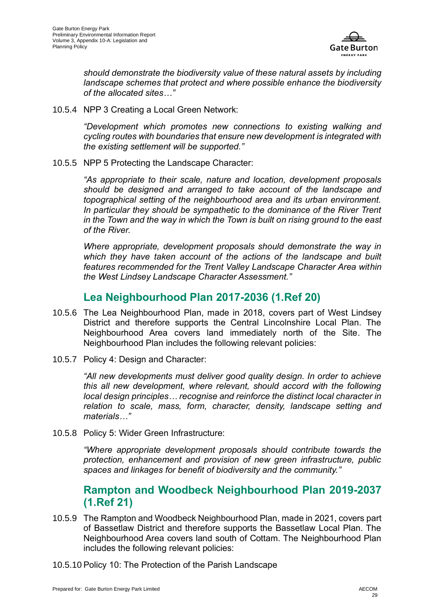

*should demonstrate the biodiversity value of these natural assets by including landscape schemes that protect and where possible enhance the biodiversity of the allocated sites…"*

10.5.4 NPP 3 Creating a Local Green Network:

*"Development which promotes new connections to existing walking and cycling routes with boundaries that ensure new development is integrated with the existing settlement will be supported."*

10.5.5 NPP 5 Protecting the Landscape Character:

*"As appropriate to their scale, nature and location, development proposals should be designed and arranged to take account of the landscape and topographical setting of the neighbourhood area and its urban environment. In particular they should be sympathetic to the dominance of the River Trent in the Town and the way in which the Town is built on rising ground to the east of the River.* 

*Where appropriate, development proposals should demonstrate the way in which they have taken account of the actions of the landscape and built features recommended for the Trent Valley Landscape Character Area within the West Lindsey Landscape Character Assessment."*

#### **Lea Neighbourhood Plan 2017-2036 [\(1.Ref 20\)](#page-32-19)**

- 10.5.6 The Lea Neighbourhood Plan, made in 2018, covers part of West Lindsey District and therefore supports the Central Lincolnshire Local Plan. The Neighbourhood Area covers land immediately north of the Site. The Neighbourhood Plan includes the following relevant policies:
- 10.5.7 Policy 4: Design and Character:

*"All new developments must deliver good quality design. In order to achieve this all new development, where relevant, should accord with the following local design principles… recognise and reinforce the distinct local character in relation to scale, mass, form, character, density, landscape setting and materials…"*

10.5.8 Policy 5: Wider Green Infrastructure:

*"Where appropriate development proposals should contribute towards the protection, enhancement and provision of new green infrastructure, public spaces and linkages for benefit of biodiversity and the community."*

#### **Rampton and Woodbeck Neighbourhood Plan 2019-2037 [\(1.Ref 21\)](#page-32-20)**

- 10.5.9 The Rampton and Woodbeck Neighbourhood Plan, made in 2021, covers part of Bassetlaw District and therefore supports the Bassetlaw Local Plan. The Neighbourhood Area covers land south of Cottam. The Neighbourhood Plan includes the following relevant policies:
- 10.5.10 Policy 10: The Protection of the Parish Landscape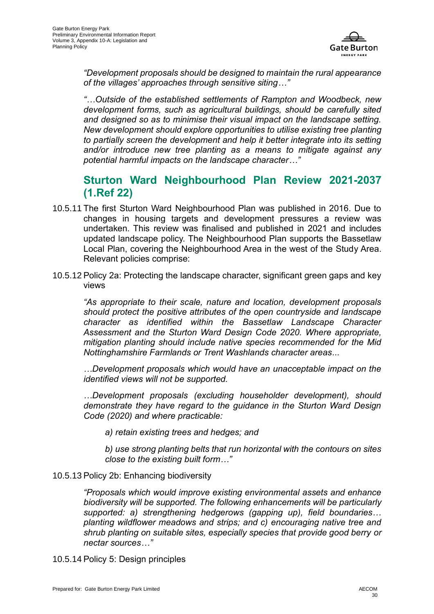

*"Development proposals should be designed to maintain the rural appearance of the villages' approaches through sensitive siting…"*

*"…Outside of the established settlements of Rampton and Woodbeck, new development forms, such as agricultural buildings, should be carefully sited and designed so as to minimise their visual impact on the landscape setting. New development should explore opportunities to utilise existing tree planting to partially screen the development and help it better integrate into its setting and/or introduce new tree planting as a means to mitigate against any potential harmful impacts on the landscape character…"*

### **Sturton Ward Neighbourhood Plan Review 2021-2037 [\(1.Ref 22\)](#page-32-21)**

- 10.5.11 The first Sturton Ward Neighbourhood Plan was published in 2016. Due to changes in housing targets and development pressures a review was undertaken. This review was finalised and published in 2021 and includes updated landscape policy. The Neighbourhood Plan supports the Bassetlaw Local Plan, covering the Neighbourhood Area in the west of the Study Area. Relevant policies comprise:
- 10.5.12 Policy 2a: Protecting the landscape character, significant green gaps and key views

*"As appropriate to their scale, nature and location, development proposals should protect the positive attributes of the open countryside and landscape character as identified within the Bassetlaw Landscape Character Assessment and the Sturton Ward Design Code 2020. Where appropriate, mitigation planting should include native species recommended for the Mid Nottinghamshire Farmlands or Trent Washlands character areas...*

*…Development proposals which would have an unacceptable impact on the identified views will not be supported.* 

*…Development proposals (excluding householder development), should demonstrate they have regard to the guidance in the Sturton Ward Design Code (2020) and where practicable:* 

*a) retain existing trees and hedges; and* 

*b) use strong planting belts that run horizontal with the contours on sites close to the existing built form…"*

#### 10.5.13 Policy 2b: Enhancing biodiversity

*"Proposals which would improve existing environmental assets and enhance biodiversity will be supported. The following enhancements will be particularly supported: a) strengthening hedgerows (gapping up), field boundaries… planting wildflower meadows and strips; and c) encouraging native tree and shrub planting on suitable sites, especially species that provide good berry or nectar sources…"*

10.5.14 Policy 5: Design principles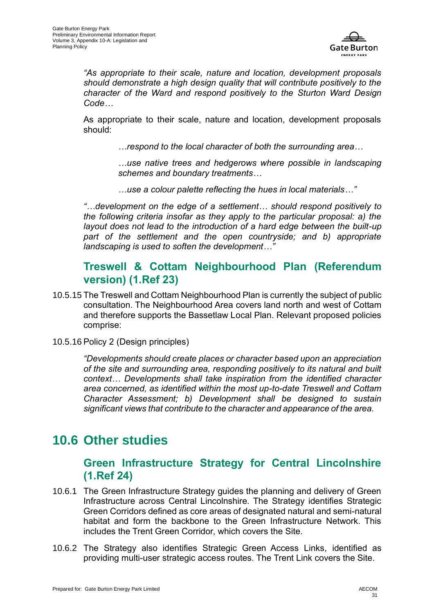

*"As appropriate to their scale, nature and location, development proposals should demonstrate a high design quality that will contribute positively to the character of the Ward and respond positively to the Sturton Ward Design Code…*

As appropriate to their scale, nature and location, development proposals should:

*…respond to the local character of both the surrounding area…* 

*…use native trees and hedgerows where possible in landscaping schemes and boundary treatments…*

*…use a colour palette reflecting the hues in local materials…"*

*"…development on the edge of a settlement… should respond positively to the following criteria insofar as they apply to the particular proposal: a) the layout does not lead to the introduction of a hard edge between the built-up part of the settlement and the open countryside; and b) appropriate landscaping is used to soften the development…"*

#### **Treswell & Cottam Neighbourhood Plan (Referendum version) [\(1.Ref 23\)](#page-32-22)**

- 10.5.15 The Treswell and Cottam Neighbourhood Plan is currently the subject of public consultation. The Neighbourhood Area covers land north and west of Cottam and therefore supports the Bassetlaw Local Plan. Relevant proposed policies comprise:
- 10.5.16 Policy 2 (Design principles)

*"Developments should create places or character based upon an appreciation of the site and surrounding area, responding positively to its natural and built context… Developments shall take inspiration from the identified character area concerned, as identified within the most up-to-date Treswell and Cottam Character Assessment; b) Development shall be designed to sustain significant views that contribute to the character and appearance of the area.* 

## <span id="page-30-0"></span>**10.6 Other studies**

#### **Green Infrastructure Strategy for Central Lincolnshire [\(1.Ref 24\)](#page-32-23)**

- 10.6.1 The Green Infrastructure Strategy guides the planning and delivery of Green Infrastructure across Central Lincolnshire. The Strategy identifies Strategic Green Corridors defined as core areas of designated natural and semi-natural habitat and form the backbone to the Green Infrastructure Network. This includes the Trent Green Corridor, which covers the Site.
- 10.6.2 The Strategy also identifies Strategic Green Access Links, identified as providing multi-user strategic access routes. The Trent Link covers the Site.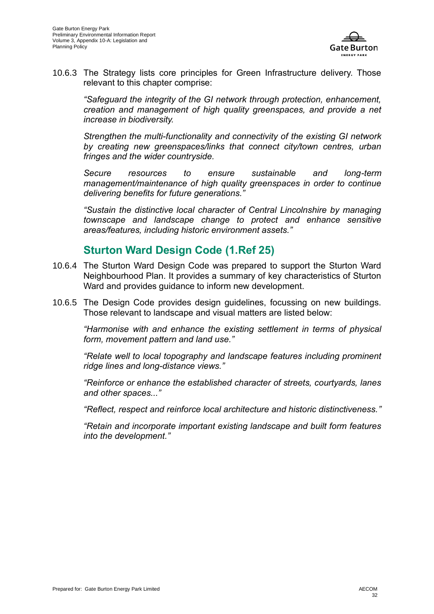

10.6.3 The Strategy lists core principles for Green Infrastructure delivery. Those relevant to this chapter comprise:

*"Safeguard the integrity of the GI network through protection, enhancement, creation and management of high quality greenspaces, and provide a net increase in biodiversity.* 

*Strengthen the multi-functionality and connectivity of the existing GI network by creating new greenspaces/links that connect city/town centres, urban fringes and the wider countryside.* 

*Secure resources to ensure sustainable and long-term management/maintenance of high quality greenspaces in order to continue delivering benefits for future generations."*

*"Sustain the distinctive local character of Central Lincolnshire by managing townscape and landscape change to protect and enhance sensitive areas/features, including historic environment assets."*

#### **Sturton Ward Design Code [\(1.Ref 25\)](#page-32-24)**

- 10.6.4 The Sturton Ward Design Code was prepared to support the Sturton Ward Neighbourhood Plan. It provides a summary of key characteristics of Sturton Ward and provides guidance to inform new development.
- 10.6.5 The Design Code provides design guidelines, focussing on new buildings. Those relevant to landscape and visual matters are listed below:

*"Harmonise with and enhance the existing settlement in terms of physical form, movement pattern and land use."*

*"Relate well to local topography and landscape features including prominent ridge lines and long-distance views."*

*"Reinforce or enhance the established character of streets, courtyards, lanes and other spaces..."*

*"Reflect, respect and reinforce local architecture and historic distinctiveness."*

*"Retain and incorporate important existing landscape and built form features into the development."*